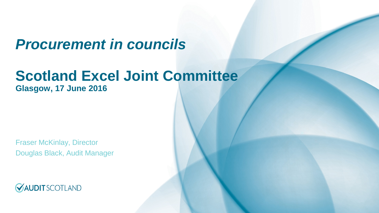## *Procurement in councils*

## **Scotland Excel Joint Committee**

**Glasgow, 17 June 2016**

Fraser McKinlay, Director Douglas Black, Audit Manager

**VAUDIT** SCOTLAND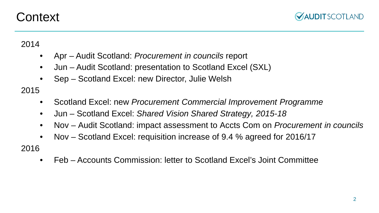## **Context**



2014

- Apr Audit Scotland: *Procurement in councils* report
- Jun Audit Scotland: presentation to Scotland Excel (SXL)
- Sep Scotland Excel: new Director, Julie Welsh

2015

- Scotland Excel: new *Procurement Commercial Improvement Programme*
- Jun Scotland Excel: *Shared Vision Shared Strategy, 2015-18*
- Nov Audit Scotland: impact assessment to Accts Com on *Procurement in councils*
- Nov Scotland Excel: requisition increase of 9.4 % agreed for 2016/17

2016

• Feb – Accounts Commission: letter to Scotland Excel's Joint Committee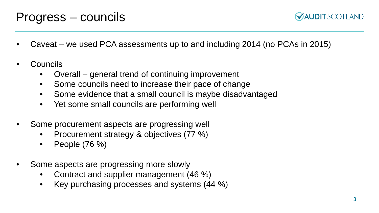**VAUDITSCOTLAND** 

- Caveat we used PCA assessments up to and including 2014 (no PCAs in 2015)
- Councils
	- Overall general trend of continuing improvement
	- Some councils need to increase their pace of change
	- Some evidence that a small council is maybe disadvantaged
	- Yet some small councils are performing well
- Some procurement aspects are progressing well
	- Procurement strategy & objectives (77 %)
	- People (76 %)
- Some aspects are progressing more slowly
	- Contract and supplier management (46 %)
	- Key purchasing processes and systems (44 %)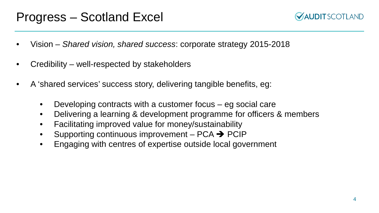## Progress – Scotland Excel



- Vision *Shared vision, shared success*: corporate strategy 2015-2018
- Credibility well-respected by stakeholders
- A 'shared services' success story, delivering tangible benefits, eg:
	- Developing contracts with a customer focus  $-$  eg social care
	- Delivering a learning & development programme for officers & members
	- Facilitating improved value for money/sustainability
	- Supporting continuous improvement  $PCA \rightarrow PClP$
	- Engaging with centres of expertise outside local government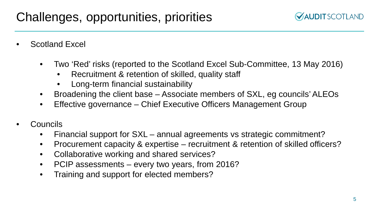- Scotland Excel
	- Two 'Red' risks (reported to the Scotland Excel Sub-Committee, 13 May 2016)
		- Recruitment & retention of skilled, quality staff
		- Long-term financial sustainability
	- Broadening the client base Associate members of SXL, eg councils' ALEOs
	- Effective governance Chief Executive Officers Management Group
- Councils
	- Financial support for SXL annual agreements vs strategic commitment?
	- Procurement capacity & expertise recruitment & retention of skilled officers?
	- Collaborative working and shared services?
	- PCIP assessments every two years, from 2016?
	- Training and support for elected members?